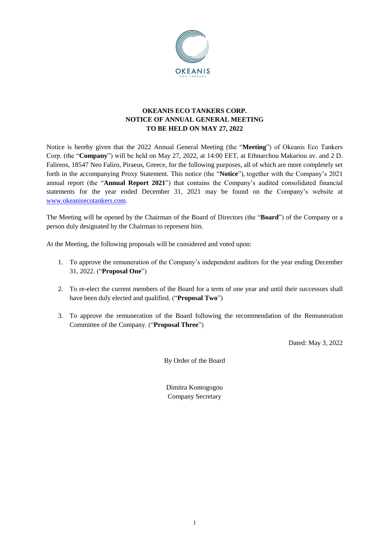

# **OKEANIS ECO TANKERS CORP. NOTICE OF ANNUAL GENERAL MEETING TO BE HELD ON MAY 27, 2022**

Notice is hereby given that the 2022 Annual General Meeting (the "**Meeting**") of Okeanis Eco Tankers Corp. (the "**Company**") will be held on May 27, 2022, at 14:00 EET, at Ethnarchou Makariou av. and 2 D. Falireos, 18547 Neo Faliro, Piraeus, Greece, for the following purposes, all of which are more completely set forth in the accompanying Proxy Statement. This notice (the "**Notice**"), together with the Company's 2021 annual report (the "**Annual Report 2021**") that contains the Company's audited consolidated financial statements for the year ended December 31, 2021 may be found on the Company's website at [www.okeanisecotankers.com.](http://www.okeanisecotankers.com/)

The Meeting will be opened by the Chairman of the Board of Directors (the "**Board**") of the Company or a person duly designated by the Chairman to represent him.

At the Meeting, the following proposals will be considered and voted upon:

- 1. To approve the remuneration of the Company's independent auditors for the year ending December 31, 2022. ("**Proposal One**")
- 2. To re-elect the current members of the Board for a term of one year and until their successors shall have been duly elected and qualified. ("**Proposal Two**")
- 3. To approve the remuneration of the Board following the recommendation of the Remuneration Committee of the Company. ("**Proposal Three**")

Dated: May 3, 2022

By Order of the Board

Dimitra Kontogogou Company Secretary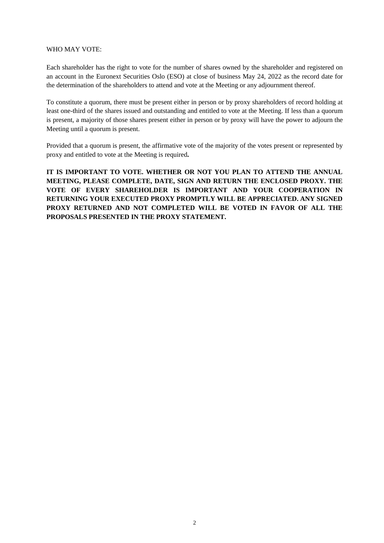### WHO MAY VOTE:

Each shareholder has the right to vote for the number of shares owned by the shareholder and registered on an account in the Euronext Securities Oslo (ESO) at close of business May 24, 2022 as the record date for the determination of the shareholders to attend and vote at the Meeting or any adjournment thereof.

To constitute a quorum, there must be present either in person or by proxy shareholders of record holding at least one-third of the shares issued and outstanding and entitled to vote at the Meeting. If less than a quorum is present, a majority of those shares present either in person or by proxy will have the power to adjourn the Meeting until a quorum is present.

Provided that a quorum is present, the affirmative vote of the majority of the votes present or represented by proxy and entitled to vote at the Meeting is required**.**

**IT IS IMPORTANT TO VOTE. WHETHER OR NOT YOU PLAN TO ATTEND THE ANNUAL MEETING, PLEASE COMPLETE, DATE, SIGN AND RETURN THE ENCLOSED PROXY. THE VOTE OF EVERY SHAREHOLDER IS IMPORTANT AND YOUR COOPERATION IN RETURNING YOUR EXECUTED PROXY PROMPTLY WILL BE APPRECIATED. ANY SIGNED PROXY RETURNED AND NOT COMPLETED WILL BE VOTED IN FAVOR OF ALL THE PROPOSALS PRESENTED IN THE PROXY STATEMENT.**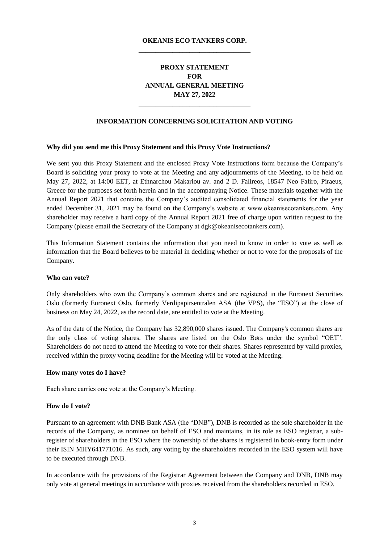## **OKEANIS ECO TANKERS CORP. \_\_\_\_\_\_\_\_\_\_\_\_\_\_\_\_\_\_\_\_\_\_\_\_\_\_\_\_\_\_\_\_\_**

# **PROXY STATEMENT FOR ANNUAL GENERAL MEETING MAY 27, 2022**

### **INFORMATION CONCERNING SOLICITATION AND VOTING**

**\_\_\_\_\_\_\_\_\_\_\_\_\_\_\_\_\_\_\_\_\_\_\_\_\_\_\_\_\_\_\_\_\_**

#### **Why did you send me this Proxy Statement and this Proxy Vote Instructions?**

We sent you this Proxy Statement and the enclosed Proxy Vote Instructions form because the Company's Board is soliciting your proxy to vote at the Meeting and any adjournments of the Meeting, to be held on May 27, 2022, at 14:00 EET, at Ethnarchou Makariou av. and 2 D. Falireos, 18547 Neo Faliro, Piraeus, Greece for the purposes set forth herein and in the accompanying Notice. These materials together with the Annual Report 2021 that contains the Company's audited consolidated financial statements for the year ended December 31, 2021 may be found on the Company's website at www.okeanisecotankers.com. Any shareholder may receive a hard copy of the Annual Report 2021 free of charge upon written request to the Company (please email the Secretary of the Company at dgk@okeanisecotankers.com).

This Information Statement contains the information that you need to know in order to vote as well as information that the Board believes to be material in deciding whether or not to vote for the proposals of the Company.

#### **Who can vote?**

Only shareholders who own the Company's common shares and are registered in the Euronext Securities Oslo (formerly Euronext Oslo, formerly Verdipapirsentralen ASA (the VPS), the "ESO") at the close of business on May 24, 2022, as the record date, are entitled to vote at the Meeting.

As of the date of the Notice, the Company has 32,890,000 shares issued. The Company's common shares are the only class of voting shares. The shares are listed on the Oslo Børs under the symbol "OET". Shareholders do not need to attend the Meeting to vote for their shares. Shares represented by valid proxies, received within the proxy voting deadline for the Meeting will be voted at the Meeting.

#### **How many votes do I have?**

Each share carries one vote at the Company's Meeting.

#### **How do I vote?**

Pursuant to an agreement with DNB Bank ASA (the "DNB"), DNB is recorded as the sole shareholder in the records of the Company, as nominee on behalf of ESO and maintains, in its role as ESO registrar, a subregister of shareholders in the ESO where the ownership of the shares is registered in book-entry form under their ISIN MHY641771016. As such, any voting by the shareholders recorded in the ESO system will have to be executed through DNB.

In accordance with the provisions of the Registrar Agreement between the Company and DNB, DNB may only vote at general meetings in accordance with proxies received from the shareholders recorded in ESO.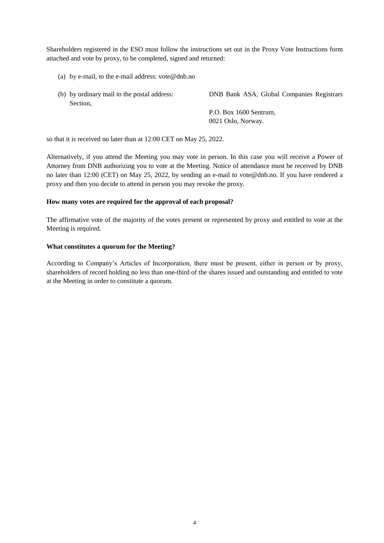Shareholders registered in the ESO must follow the instructions set out in the Proxy Vote Instructions form attached and vote by proxy, to be completed, signed and returned:

- (a) by e-mail, to the e-mail address:  $\text{vote@dhb.no}$
- (b) by ordinary mail to the postal address: DNB Bank ASA, Global Companies Registrars Section, P.O. Box 1600 Sentrum, 0021 Oslo, Norway.

so that it is received no later than at 12:00 CET on May 25, 2022.

Alternatively, if you attend the Meeting you may vote in person. In this case you will receive a Power of Attorney from DNB authorizing you to vote at the Meeting. Notice of attendance must be received by DNB no later than 12:00 (CET) on May 25, 2022, by sending an e-mail to [vote@dnb.no.](mailto:vote@dnb.no) If you have rendered a proxy and then you decide to attend in person you may revoke the proxy.

### **How many votes are required for the approval of each proposal?**

The affirmative vote of the majority of the votes present or represented by proxy and entitled to vote at the Meeting is required.

### **What constitutes a quorum for the Meeting?**

According to Company's Articles of Incorporation, there must be present, either in person or by proxy, shareholders of record holding no less than one-third of the shares issued and outstanding and entitled to vote at the Meeting in order to constitute a quorum.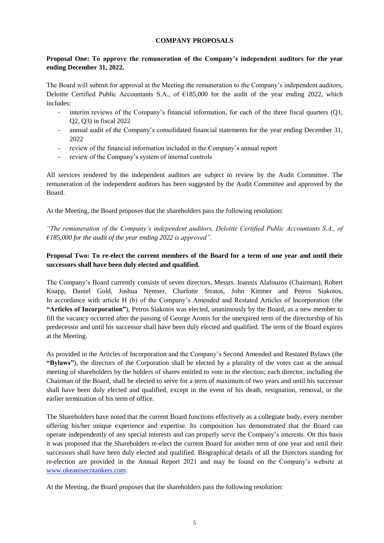### **COMPANY PROPOSALS**

### **Proposal One: To approve the remuneration of the Company's independent auditors for the year ending December 31, 2022.**

The Board will submit for approval at the Meeting the remuneration to the Company's independent auditors, Deloitte Certified Public Accountants S.A., of  $\epsilon$ 185,000 for the audit of the year ending 2022, which includes:

- interim reviews of the Company's financial information, for each of the three fiscal quarters (Q1, Q2, Q3) in fiscal 2022
- annual audit of the Company's consolidated financial statements for the year ending December 31, 2022
- review of the financial information included in the Company's annual report
- review of the Company's system of internal controls

All services rendered by the independent auditors are subject to review by the Audit Committee. The remuneration of the independent auditors has been suggested by the Audit Committee and approved by the Board.

At the Meeting, the Board proposes that the shareholders pass the following resolution:

*"The remuneration of the Company's independent auditors, Deloitte Certified Public Accountants S.A., of €185,000 for the audit of the year ending 2022 is approved".*

## **Proposal Two: To re-elect the current members of the Board for a term of one year and until their successors shall have been duly elected and qualified.**

The Company's Board currently consists of seven directors, Messrs. Ioannis Alafouzos (Chairman), Robert Knapp, Daniel Gold, Joshua Nemser, Charlotte Stratos, John Kittmer and Petros Siakotos. In accordance with article H (b) of the Company's Amended and Restated Articles of Incorporation (the **"Articles of Incorporation"**), Petros Siakotos was elected, unanimously by the Board, as a new member to fill the vacancy occurred after the passing of George Aronis for the unexpired term of the directorship of his predecessor and until his successor shall have been duly elected and qualified. The term of the Board expires at the Meeting.

As provided in the Articles of Incorporation and the Company's Second Amended and Restated Bylaws (the **"Bylaws"**), the directors of the Corporation shall be elected by a plurality of the votes cast at the annual meeting of shareholders by the holders of shares entitled to vote in the election; each director, including the Chairman of the Board, shall be elected to serve for a term of maximum of two years and until his successor shall have been duly elected and qualified, except in the event of his death, resignation, removal, or the earlier termination of his term of office.

The Shareholders have noted that the current Board functions effectively as a collegiate body, every member offering his/her unique experience and expertise. Its composition has demonstrated that the Board can operate independently of any special interests and can properly serve the Company's interests. On this basis it was proposed that the Shareholders re-elect the current Board for another term of one year and until their successors shall have been duly elected and qualified. Biographical details of all the Directors standing for re-election are provided in the Annual Report 2021 and may be found on the Company's website at [www.okeanisecotankers.com.](http://www.okeanisecotankers.com/)

At the Meeting, the Board proposes that the shareholders pass the following resolution: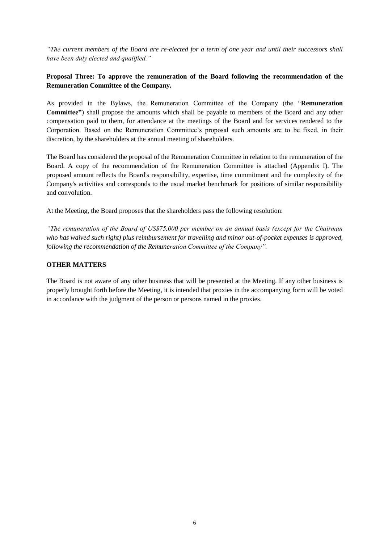*"The current members of the Board are re-elected for a term of one year and until their successors shall have been duly elected and qualified."* 

## **Proposal Three: To approve the remuneration of the Board following the recommendation of the Remuneration Committee of the Company.**

As provided in the Bylaws, the Remuneration Committee of the Company (the "**Remuneration Committee"**) shall propose the amounts which shall be payable to members of the Board and any other compensation paid to them, for attendance at the meetings of the Board and for services rendered to the Corporation. Based on the Remuneration Committee's proposal such amounts are to be fixed, in their discretion, by the shareholders at the annual meeting of shareholders.

The Board has considered the proposal of the Remuneration Committee in relation to the remuneration of the Board. A copy of the recommendation of the Remuneration Committee is attached (Appendix I). The proposed amount reflects the Board's responsibility, expertise, time commitment and the complexity of the Company's activities and corresponds to the usual market benchmark for positions of similar responsibility and convolution.

At the Meeting, the Board proposes that the shareholders pass the following resolution:

*"The remuneration of the Board of US\$75,000 per member on an annual basis (except for the Chairman who has waived such right) plus reimbursement for travelling and minor out-of-pocket expenses is approved, following the recommendation of the Remuneration Committee of the Company".*

### **OTHER MATTERS**

The Board is not aware of any other business that will be presented at the Meeting. If any other business is properly brought forth before the Meeting, it is intended that proxies in the accompanying form will be voted in accordance with the judgment of the person or persons named in the proxies.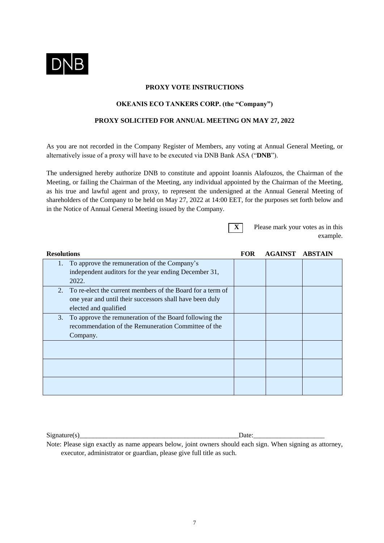

### **PROXY VOTE INSTRUCTIONS**

## **OKEANIS ECO TANKERS CORP. (the "Company")**

## **PROXY SOLICITED FOR ANNUAL MEETING ON MAY 27, 2022**

As you are not recorded in the Company Register of Members, any voting at Annual General Meeting, or alternatively issue of a proxy will have to be executed via DNB Bank ASA ("**DNB**").

The undersigned hereby authorize DNB to constitute and appoint Ioannis Alafouzos, the Chairman of the Meeting, or failing the Chairman of the Meeting, any individual appointed by the Chairman of the Meeting, as his true and lawful agent and proxy, to represent the undersigned at the Annual General Meeting of shareholders of the Company to be held on May 27, 2022 at 14:00 EET, for the purposes set forth below and in the Notice of Annual General Meeting issued by the Company.

**X** Please mark your votes as in this example.

| <b>Resolutions</b>                                               | <b>FOR</b> | <b>AGAINST</b> | <b>ABSTAIN</b> |
|------------------------------------------------------------------|------------|----------------|----------------|
| To approve the remuneration of the Company's<br>1.               |            |                |                |
| independent auditors for the year ending December 31,            |            |                |                |
| 2022.                                                            |            |                |                |
| To re-elect the current members of the Board for a term of<br>2. |            |                |                |
| one year and until their successors shall have been duly         |            |                |                |
| elected and qualified                                            |            |                |                |
| To approve the remuneration of the Board following the<br>3.     |            |                |                |
| recommendation of the Remuneration Committee of the              |            |                |                |
| Company.                                                         |            |                |                |
|                                                                  |            |                |                |
|                                                                  |            |                |                |
|                                                                  |            |                |                |
|                                                                  |            |                |                |
|                                                                  |            |                |                |
|                                                                  |            |                |                |

 $Signature(s)$  Date:

Note: Please sign exactly as name appears below, joint owners should each sign. When signing as attorney, executor, administrator or guardian, please give full title as such.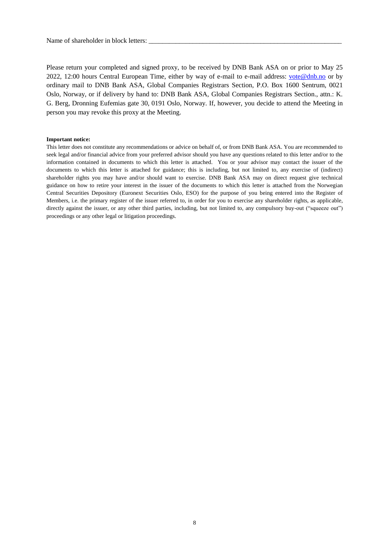Please return your completed and signed proxy, to be received by DNB Bank ASA on or prior to May 25 2022, 12:00 hours Central European Time, either by way of e-mail to e-mail address: [vote@dnb.no](mailto:vote@dnb.no) or by ordinary mail to DNB Bank ASA, Global Companies Registrars Section, P.O. Box 1600 Sentrum, 0021 Oslo, Norway, or if delivery by hand to: DNB Bank ASA, Global Companies Registrars Section., attn.: K. G. Berg, Dronning Eufemias gate 30, 0191 Oslo, Norway. If, however, you decide to attend the Meeting in person you may revoke this proxy at the Meeting.

#### **Important notice:**

This letter does not constitute any recommendations or advice on behalf of, or from DNB Bank ASA. You are recommended to seek legal and/or financial advice from your preferred advisor should you have any questions related to this letter and/or to the information contained in documents to which this letter is attached. You or your advisor may contact the issuer of the documents to which this letter is attached for guidance; this is including, but not limited to, any exercise of (indirect) shareholder rights you may have and/or should want to exercise. DNB Bank ASA may on direct request give technical guidance on how to retire your interest in the issuer of the documents to which this letter is attached from the Norwegian Central Securities Depository (Euronext Securities Oslo, ESO) for the purpose of you being entered into the Register of Members, i.e. the primary register of the issuer referred to, in order for you to exercise any shareholder rights, as applicable, directly against the issuer, or any other third parties, including, but not limited to, any compulsory buy-out ("squeeze out") proceedings or any other legal or litigation proceedings.